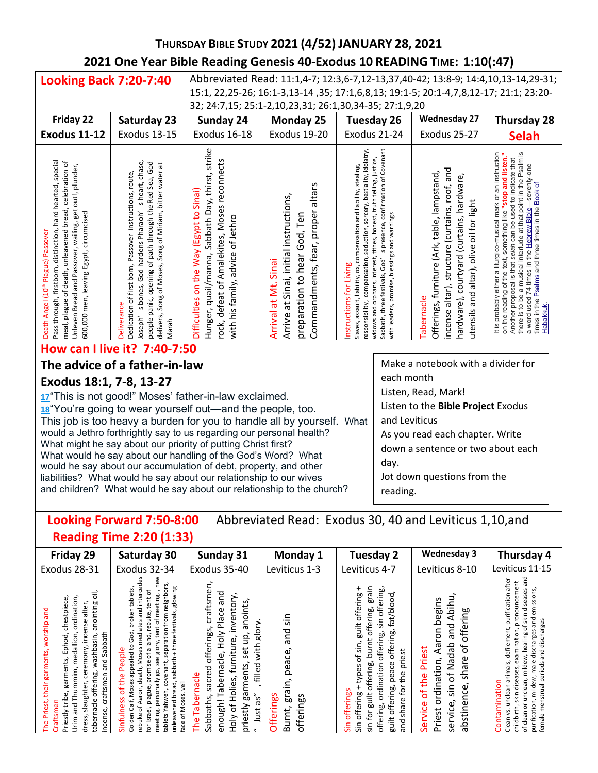# **THURSDAY BIBLE STUDY 2021 (4/52) JANUARY 28, 2021 2021 One Year Bible Reading Genesis 40-Exodus 10 READING TIME: 1:10(:47)**

| <b>Looking Back 7:20-7:40</b>                                                                                                                                                                                                                                                              |                                                                                                                                                                                                                                                                         | Abbreviated Read: 11:1,4-7; 12:3,6-7,12-13,37,40-42; 13:8-9; 14:4,10,13-14,29-31;                                                                                                       |                                                                                                                                                       |                                                                                                                                                                                                                                                                                                                                                                                       |                                                                                                                                                                                                                 |                                                                                                                                                                                                                                                                                                                                                                                                                    |  |  |
|--------------------------------------------------------------------------------------------------------------------------------------------------------------------------------------------------------------------------------------------------------------------------------------------|-------------------------------------------------------------------------------------------------------------------------------------------------------------------------------------------------------------------------------------------------------------------------|-----------------------------------------------------------------------------------------------------------------------------------------------------------------------------------------|-------------------------------------------------------------------------------------------------------------------------------------------------------|---------------------------------------------------------------------------------------------------------------------------------------------------------------------------------------------------------------------------------------------------------------------------------------------------------------------------------------------------------------------------------------|-----------------------------------------------------------------------------------------------------------------------------------------------------------------------------------------------------------------|--------------------------------------------------------------------------------------------------------------------------------------------------------------------------------------------------------------------------------------------------------------------------------------------------------------------------------------------------------------------------------------------------------------------|--|--|
|                                                                                                                                                                                                                                                                                            |                                                                                                                                                                                                                                                                         | 15:1, 22, 25-26; 16:1-3, 13-14, 35; 17:1, 6, 8, 13; 19:1-5; 20:1-4, 7, 8, 12-17; 21:1; 23: 20-                                                                                          |                                                                                                                                                       |                                                                                                                                                                                                                                                                                                                                                                                       |                                                                                                                                                                                                                 |                                                                                                                                                                                                                                                                                                                                                                                                                    |  |  |
|                                                                                                                                                                                                                                                                                            |                                                                                                                                                                                                                                                                         | 32; 24:7,15; 25:1-2,10,23,31; 26:1,30,34-35; 27:1,9,20<br>Tuesday 26                                                                                                                    |                                                                                                                                                       |                                                                                                                                                                                                                                                                                                                                                                                       |                                                                                                                                                                                                                 |                                                                                                                                                                                                                                                                                                                                                                                                                    |  |  |
| Friday 22                                                                                                                                                                                                                                                                                  | Saturday 23                                                                                                                                                                                                                                                             | Sunday 24                                                                                                                                                                               | Monday 25                                                                                                                                             |                                                                                                                                                                                                                                                                                                                                                                                       | <b>Wednesday 27</b>                                                                                                                                                                                             | <b>Thursday 28</b>                                                                                                                                                                                                                                                                                                                                                                                                 |  |  |
| <b>Exodus 11-12</b>                                                                                                                                                                                                                                                                        | <b>Exodus 13-15</b>                                                                                                                                                                                                                                                     | Exodus 16-18                                                                                                                                                                            | Exodus 19-20<br>Exodus 21-24                                                                                                                          |                                                                                                                                                                                                                                                                                                                                                                                       | Exodus 25-27                                                                                                                                                                                                    | <b>Selah</b>                                                                                                                                                                                                                                                                                                                                                                                                       |  |  |
| special<br>celebration of<br>out!, plunder,<br>hard hearted,<br>meal, plague of death, unleavened bread,<br>Unleven Bread and Passover, wailing, get<br>600,000 men, leaving Egypt, circumcised<br>Pass through, firstborn, distinction,<br>Death Angel (10 <sup>th</sup> Plague) Passover | s heart, chase,<br>people panic, opening of path through the Red Sea, God<br>Song of Moses, Song of Miriam, bitter water at<br>Dedication of first born, Passover instructions, route,<br>s bones, God hardens Pharaoh'<br>Deliverance<br>delivers,<br>Joseph'<br>Marah | strike<br>rock, defeat of Amalekites, Moses reconnects<br>Hunger, quail/manna, Sabbath Day, thirst,<br>Sinai)<br>Difficulties on the Way (Egypt to<br>with his family, advice of Jethro | altars<br>at Sinai, initial instructions,<br>Commandments, fear, proper<br>preparation to hear God, Ten<br>Sinai<br>Ż.<br><b>Arrival at</b><br>Arrive | s presence, confirmation of Covenant<br>compensation, seduction, sorcery, bestiality, idolatry,<br>widows and orphans, interest, tithes, honest, truth telling, justice<br>compensation and liability, stealing,<br>with leaders, promise, blessings and warnings<br>Sabbath, three festivals, God'<br>nstructions for Living<br>assault, liability, ox,<br>esponsibility,<br>Slaves, | incense altar), structure (curtains, roof, and<br>Offerings, furniture (Ark, table, lampstand,<br>hardware), courtyard (curtains, hardware,<br>altar), olive oil for light<br>utensils and<br><b>Tabernacle</b> | It is probably either a liturgico-musical mark or an instruction<br>a musical interlude at that point in the Psalm is<br>on the reading of the text, something like "stop and listen.<br>selah can be used to indicate that<br>seventy-one<br>৳<br>times in the Psalms and three times in the Book<br>74 times in the Hebrew Bible<br>Another proposal is that<br>there is to be<br>a word used<br><u>Habakkuk</u> |  |  |

### **How can I live it? 7:40-7:50**

### **The advice of a father-in-law**

### **Exodus 18:1, 7-8, 13-27**

**[17](http://biblehub.com/exodus/18-17.htm)**"This is not good!" Moses' father-in-law exclaimed. **[18](http://biblehub.com/exodus/18-18.htm)**"You're going to wear yourself out—and the people, too. This job is too heavy a burden for you to handle all by yourself. What would a Jethro forthrightly say to us regarding our personal health? What might he say about our priority of putting Christ first? What would he say about our handling of the God's Word? What would he say about our accumulation of debt, property, and other liabilities? What would he say about our relationship to our wives and children? What would he say about our relationship to the church?

Make a notebook with a divider for each month Listen, Read, Mark! Listen to the **Bible Project** Exodus and Leviticus As you read each chapter. Write down a sentence or two about each day. Jot down questions from the

reading. j

#### **Looking Forward 7:50-8:00 Reading Time 2:20 (1:33)** Abbreviated Read: Exodus 30, 40 and Leviticus 1,10,and

| o                                                                                                                                                                                                                                                                                                                        |                                                                                                                                                                                                                                                                                                                                                                                                                                 |                                                                                                                                                                                                                                                                                                |                                                                        |                                                                                                                                                                                                                                                                                              |                                                                                                                                                                                                 |                                                                                                                                                                                                                                                                                                                                                       |
|--------------------------------------------------------------------------------------------------------------------------------------------------------------------------------------------------------------------------------------------------------------------------------------------------------------------------|---------------------------------------------------------------------------------------------------------------------------------------------------------------------------------------------------------------------------------------------------------------------------------------------------------------------------------------------------------------------------------------------------------------------------------|------------------------------------------------------------------------------------------------------------------------------------------------------------------------------------------------------------------------------------------------------------------------------------------------|------------------------------------------------------------------------|----------------------------------------------------------------------------------------------------------------------------------------------------------------------------------------------------------------------------------------------------------------------------------------------|-------------------------------------------------------------------------------------------------------------------------------------------------------------------------------------------------|-------------------------------------------------------------------------------------------------------------------------------------------------------------------------------------------------------------------------------------------------------------------------------------------------------------------------------------------------------|
| Friday 29                                                                                                                                                                                                                                                                                                                | Saturday 30                                                                                                                                                                                                                                                                                                                                                                                                                     | Sunday 31                                                                                                                                                                                                                                                                                      | Monday 1                                                               | Tuesday 2                                                                                                                                                                                                                                                                                    | <b>Wednesday 3</b>                                                                                                                                                                              | Thursday 4                                                                                                                                                                                                                                                                                                                                            |
| Exodus 28-31                                                                                                                                                                                                                                                                                                             | Exodus 32-34                                                                                                                                                                                                                                                                                                                                                                                                                    | Exodus 35-40                                                                                                                                                                                                                                                                                   | Leviticus 1-3                                                          | Leviticus 4-7                                                                                                                                                                                                                                                                                | Leviticus 8-10                                                                                                                                                                                  | Leviticus 11-15                                                                                                                                                                                                                                                                                                                                       |
| $\overline{5}$<br>chestpiece,<br>ordination,<br>anointing<br>alter,<br>their garments, worship and<br>ceremony, incense<br>and Sabbath<br>medallion,<br>Ephod,<br>washbasin,<br>garments,<br>Urim and Thummim,<br>offering,<br>craftsmen<br>slaughter,<br>Priestly tribe,<br>tabernacle<br>Priest,<br>incense,<br>dress, | ë<br>separation from neighbors,<br>three festivals, glowing<br>God, broken tablets<br>and interce<br>a land, rebuke, tent of<br>tent of meeting,<br>Ē<br>glory,<br>Moses appealed to<br>Moses<br>Sinfulness of the People<br>promise of<br>sabbath<br>see<br>tablets Yahweh, covenant,<br>ath,<br>go,<br>personally<br>ĕ<br>unleavened bread,<br>for Israel, plague,<br>aron,<br>Golden Calf,<br>Mos<br>⋖<br>ď<br>meeting<br>بع | craftsmen,<br>pue<br>inventory<br>anoints,<br>Holy Place<br>glory.<br>offerings,<br>9,<br>furniture,<br>with<br>set<br>abernacle,<br>rments,<br>filled<br>sacred<br>nacle<br>Holies,<br>డై<br>Taberi<br>as"<br>enough! T<br>Sabbaths,<br>priestly<br>đ<br>Just<br>Holy<br>Φ<br>혼<br>$\ddot{ }$ | sin<br>and<br>peace,<br>Ξ.<br>erai<br>Offerings<br>offerings<br>Burnt, | grain<br>offering,<br>fat/blood,<br>guilt offering<br>sin for guilt offering, burnt offering,<br>sin<br>peace offering,<br>offering,<br>types of sin,<br>priest<br>offering, ordination<br>the<br>guilt offering,<br>for<br>offerings<br>offering<br>share <sup>-</sup><br>pue<br>Siρ<br>Sίñ | Abihu,<br>begins<br>offering<br>and<br>Aaron<br>Nadab<br>$\mathfrak{b}$<br>Priest<br>share<br>Priest ordination,<br>of the<br>$\mathcal{P}$<br>bstinence,<br>$\sin$<br>service,<br>Service<br>ത | and<br>after<br>uncement<br>unclean, mildew, healing of skin diseases<br>emissions,<br>purification<br>prono<br>and<br>and discharges<br>defilement,<br>examination,<br>discharges<br>purification, mildew, male<br>animals,<br>female menstrual periods<br>skin disea<br>ntamination<br>unclean<br>clean or<br>ýs.<br>childbirth<br>Clean<br>දු<br>৳ |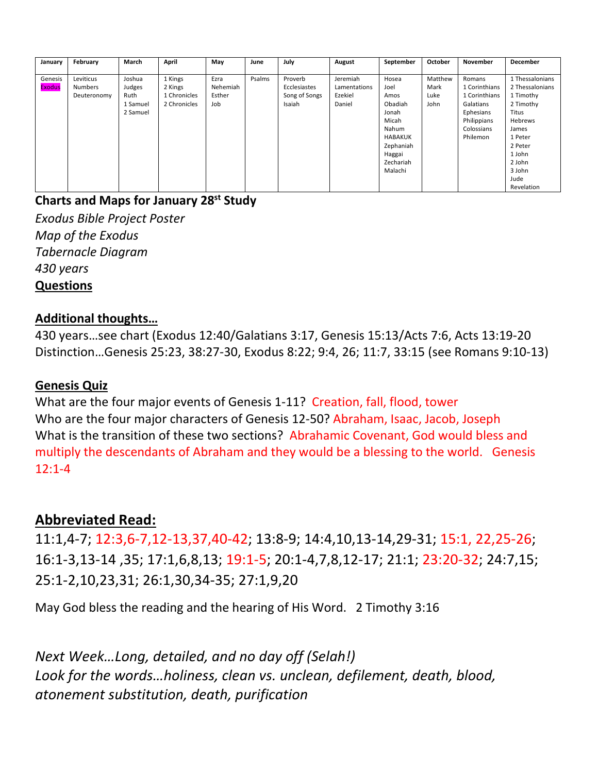| January       | February       | March    | April        | Mav      | June   | July          | August       | September      | October | November      | December        |
|---------------|----------------|----------|--------------|----------|--------|---------------|--------------|----------------|---------|---------------|-----------------|
|               |                |          |              |          |        |               |              |                |         |               |                 |
| Genesis       | Leviticus      | Joshua   | 1 Kings      | Ezra     | Psalms | Proverb       | Jeremiah     | Hosea          | Matthew | Romans        | 1 Thessalonians |
| <b>Exodus</b> | <b>Numbers</b> | Judges   | 2 Kings      | Nehemiah |        | Ecclesiastes  | Lamentations | Joel           | Mark    | 1 Corinthians | 2 Thessalonians |
|               | Deuteronomy    | Ruth     | 1 Chronicles | Esther   |        | Song of Songs | Ezekiel      | Amos           | Luke    | 1 Corinthians | 1 Timothy       |
|               |                | 1 Samuel | 2 Chronicles | Job      |        | Isaiah        | Daniel       | Obadiah        | John    | Galatians     | 2 Timothy       |
|               |                | 2 Samuel |              |          |        |               |              | Jonah          |         | Ephesians     | Titus           |
|               |                |          |              |          |        |               |              | Micah          |         | Philippians   | Hebrews         |
|               |                |          |              |          |        |               |              | Nahum          |         | Colossians    | James           |
|               |                |          |              |          |        |               |              | <b>HABAKUK</b> |         | Philemon      | 1 Peter         |
|               |                |          |              |          |        |               |              | Zephaniah      |         |               | 2 Peter         |
|               |                |          |              |          |        |               |              | Haggai         |         |               | 1 John          |
|               |                |          |              |          |        |               |              | Zechariah      |         |               | 2 John          |
|               |                |          |              |          |        |               |              | Malachi        |         |               | 3 John          |
|               |                |          |              |          |        |               |              |                |         |               | Jude            |
|               |                |          |              |          |        |               |              |                |         |               | Revelation      |

## **Charts and Maps for January 28st Study**

*Exodus Bible Project Poster Map of the Exodus Tabernacle Diagram 430 years*  **Questions** 

## **Additional thoughts…**

430 years…see chart (Exodus 12:40/Galatians 3:17, Genesis 15:13/Acts 7:6, Acts 13:19-20 Distinction…Genesis 25:23, 38:27-30, Exodus 8:22; 9:4, 26; 11:7, 33:15 (see Romans 9:10-13)

## **Genesis Quiz**

What are the four major events of Genesis 1-11? Creation, fall, flood, tower Who are the four major characters of Genesis 12-50? Abraham, Isaac, Jacob, Joseph What is the transition of these two sections? Abrahamic Covenant, God would bless and multiply the descendants of Abraham and they would be a blessing to the world. Genesis 12:1-4

# **Abbreviated Read:**

11:1,4-7; 12:3,6-7,12-13,37,40-42; 13:8-9; 14:4,10,13-14,29-31; 15:1, 22,25-26; 16:1-3,13-14 ,35; 17:1,6,8,13; 19:1-5; 20:1-4,7,8,12-17; 21:1; 23:20-32; 24:7,15; 25:1-2,10,23,31; 26:1,30,34-35; 27:1,9,20

May God bless the reading and the hearing of His Word. 2 Timothy 3:16

*Next Week…Long, detailed, and no day off (Selah!) Look for the words…holiness, clean vs. unclean, defilement, death, blood, atonement substitution, death, purification*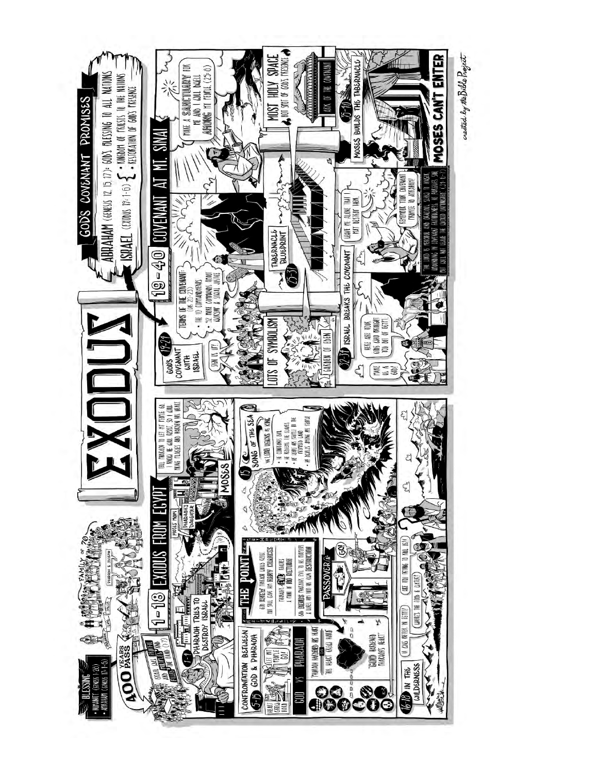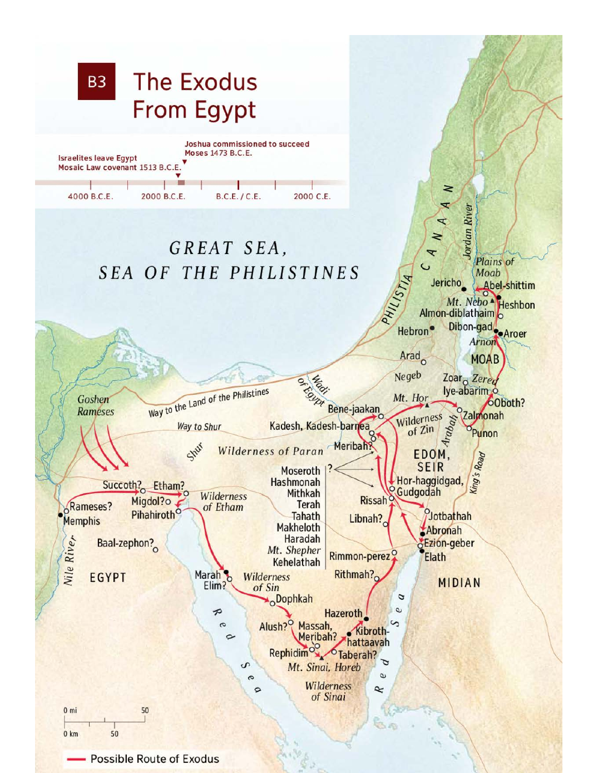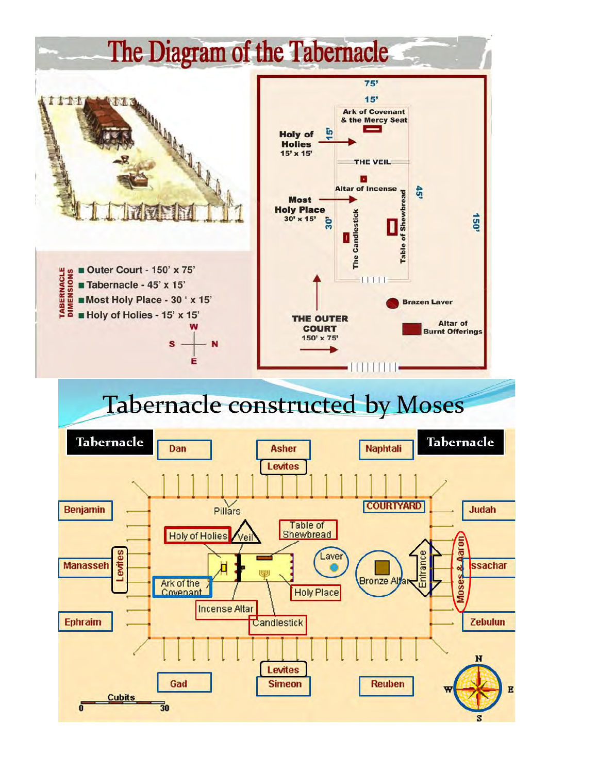